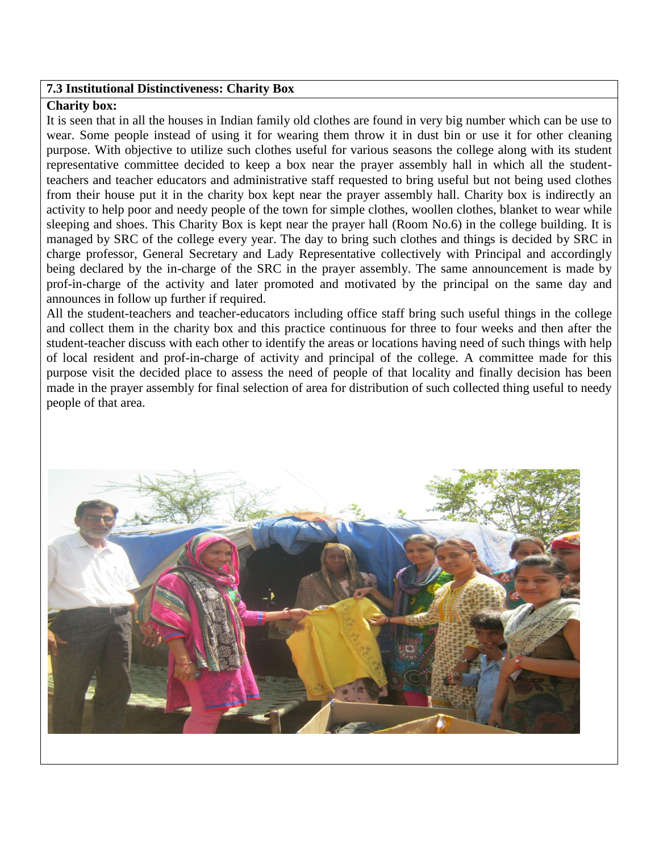## **7.3 Institutional Distinctiveness: Charity Box**

## **Charity box:**

It is seen that in all the houses in Indian family old clothes are found in very big number which can be use to wear. Some people instead of using it for wearing them throw it in dust bin or use it for other cleaning purpose. With objective to utilize such clothes useful for various seasons the college along with its student representative committee decided to keep a box near the prayer assembly hall in which all the studentteachers and teacher educators and administrative staff requested to bring useful but not being used clothes from their house put it in the charity box kept near the prayer assembly hall. Charity box is indirectly an activity to help poor and needy people of the town for simple clothes, woollen clothes, blanket to wear while sleeping and shoes. This Charity Box is kept near the prayer hall (Room No.6) in the college building. It is managed by SRC of the college every year. The day to bring such clothes and things is decided by SRC in charge professor, General Secretary and Lady Representative collectively with Principal and accordingly being declared by the in-charge of the SRC in the prayer assembly. The same announcement is made by prof-in-charge of the activity and later promoted and motivated by the principal on the same day and announces in follow up further if required.

All the student-teachers and teacher-educators including office staff bring such useful things in the college and collect them in the charity box and this practice continuous for three to four weeks and then after the student-teacher discuss with each other to identify the areas or locations having need of such things with help of local resident and prof-in-charge of activity and principal of the college. A committee made for this purpose visit the decided place to assess the need of people of that locality and finally decision has been made in the prayer assembly for final selection of area for distribution of such collected thing useful to needy people of that area.